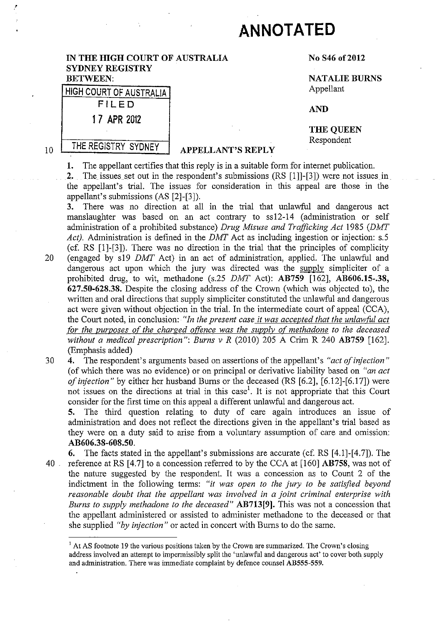## **ANNOTATED**

IN THE HIGH COURT OF AUSTRALIA SYDNEY REGISTRY

BETWEEN:

10

No S46 of 2012

NATALIE BURNS Appellant

AND

THE QUEEN

THE REGISTRY SYDNEY APPELLANT'S REPLY Respondent

HIGH COURT OF AUSTRALIA FILED

1 7 APR 2012

1. The appellant certifies that this reply is in a suitable form for internet publication.

2. The issues set out in the respondent's submissions  $(RS [1]]-[3])$  were not issues in the appellant's trial. The issues for consideration in this appeal are those in the appellant's submissions (AS [2]-[3]).

3. There was no direction at all in the trial that unlawful and dangerous act manslaughter was based on an act contrary to ss12-14 (administration or self administration of a prohibited substance) *Drug Misuse and Trafficking Act* 1985 *(DMT Act).* Administration is defined in the *DMT* Act as including ingestion or injection: s.5 ( cf. RS [1]-[3]). There was no direction in the trial that the principles of complicity 20 (engaged by sl9 *DMT* Act) in an act of administration, applied. The unlawful and

- dangerous act upon which the jury was directed was the supply simpliciter of a prohibited drug, to wit, methadone (s.25 *DMT* Act): AB759 [162], AB606.15-.38, 627.50-628.38. Despite the closing address of the Crown (which was objected to), the written and oral directions that supply simpliciter constituted the unlawful and dangerous act were given without objection in the trial. In the intermediate court of appeal (CCA), the Court noted, in conclusion: *"In the present case* it *was accepted that the unlawful act for the purposes of the charged offence was the supply of methadone to the deceased without a medical prescription": Burns v R* (2010) 205 A Crim R 240 AB759 [162]. (Emphasis added)
- 30 4. The respondent's arguments based on assertions of the appellant's *"act of injection"*  (of which there was no evidence) or on principal or derivative liability based on *"an act of injection"* by either her husband Burns or the deceased (RS [6.2], [6.12]-[6.17]) were not issues on the directions at trial in this case<sup>1</sup>. It is not appropriate that this Court consider for the first time on this appeal a different unlawful and dangerous act.

5. The third question relating to duty of care again introduces an issue of administration and does not reflect the directions given in the appellant's trial based as they were on a duty said to arise from a voluntary assumption of care and omission: AB606.38-608.50.

6. The facts stated in the appellant's submissions are accurate (cf. RS [4.1]-[4.7]). The 40 reference at RS [4.7] to a concession referred to by the CCA at [160] AB758, was not of the nature suggested by the respondent. It was a concession as to Count 2 of the indictment in the following terms: *"it was open to the jury to be satisfied beyond reasonable doubt that the appellant was involved in a joint criminal enterprise with Burns to supply methadone to the deceased"* AB713[9]. This was not a concession that the appellant administered or assisted to administer methadone to the deceased or that she supplied *"by injection"* or acted in concert with Burns to do the same.

 $<sup>1</sup>$  At AS footnote 19 the various positions taken by the Crown are summarized. The Crown's closing</sup> address involved an attempt to impermissibly split the 'unlawful and dangerous act' to cover both supply and administration. There was immediate complaint by defence counsel AB555-559.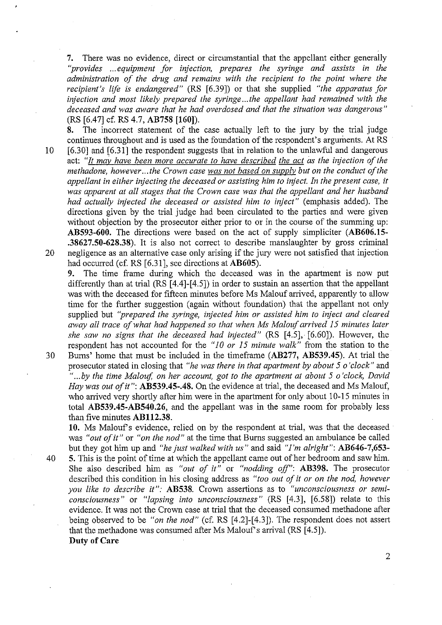7. There was no evidence, direct or circumstantial that the appellant either generally *"provides* ... *equipment for injection, prepares the syringe and assists in the administration of the drug and remains with the recipient to the point where the recipient's life is endangered"* (RS [6.39]) or that she supplied *"the apparatus for injection and most likely prepared the syringe ... the appellant had remained with the deceased and was aware that he had overdosed and that the situation was dangerous"*  (RS [6.47] cf. RS 4.7, **AB758 [160]).** 

**8.** The incorrect statement of the case actually left to the jury by the trial judge continues throughout and is used as the foundation of the respondent's arguments. At RS

10 [6.30] and [6.31] the respondent suggests that in relation to the unlawful and dangerous act: *"It mav have been more accurate to have described the act as the injection of the methadone, however ... the Crown case was not based on supplv but on the conduct of the appellant in either injecting the deceased or assisting him to inject. In the present case,* it *was apparent at all stages that the Crown case was that the appellant and her husband had actually injected the deceased or assisted him to inject"* (emphasis added). The directions given by the trial judge had been circulated to the parties and were given without objection by the prosecutor either prior to or in the course of the summing up: **AB593-600.** The directions were based on the act of supply simpliciter **(AB606.15- .38627.50-628.38).** It is also not correct to describe manslaughter by gross criminal 20 negligence as an alternative case only arising if the jury were not satisfied that injection had occurred (cf. RS [6.31], see directions at **AB605).** 

**9.** The time frame during which the deceased was in the apartment is now put differently than at trial (RS [4.4]-[4.5]) in order to sustain an assertion that the appellant was with the deceased for fifteen minutes before Ms Malouf arrived, apparently to allow time for the further suggestion (again without foundation) that the appellant not only supplied but *"prepared the syringe, injected him or assisted him to inject and cleared away all trace of what had happened so that when Ms Malouf arrived 15 minutes later she saw no signs that the deceased had injected"* (RS [4.5], [6.60]). However, the respondent has not accounted for the "10 or 15 minute walk" from the station to the 30 Burns' home that must be included in the timeframe **(AB277, AB539.45).** At trial the

prosecutor stated in closing that *"he was there in that apartment by about 5o 'clock"* and *" ... by the time Malouf, on her account, got to the apartment at about 5 o 'clock, David Hay was out of* it": **AB539.45-.48.** On the evidence at trial, the deceased and Ms Malouf, who arrived very shortly after him were in the apartment for only about 10-15 minutes in total **AB539.45-AB540.26,** and the appellant was in the same room for probably less than five minutes **AB112.38.** 

**10.** Ms Maloufs evidence, relied on by the respondent at trial, was that the deceased was *"out of it"* or *"on the nod"* at the time that Burns suggested an ambulance be called but they got him up and *"he just walked with us"* and said *"I'm alright":* **AB646-7,653-** 40 **5.** This is the point of time at which the appellant came out of her bedroom and saw him.

She also described him as *"out of it"* or *"nodding off":* **AB398.** The prosecutor described this condition in his closing address as *"too out of it or on the nod, however you like to describe it":* **AB538.** Crown assertions as to *"unconsciousness or semiconsciousness"* or *"lapsing into unconsciousness"* (RS [4.3], [6.58]) relate to this evidence. It was not the Crown case at trial that the deceased consumed methadone after being observed to be *"on the nod"* (cf. RS [4.2]-[4.3]). The respondent does not assert that the methadone was consumed after Ms Malouf's arrival  $(RS [4.5])$ .

**Duty of Care**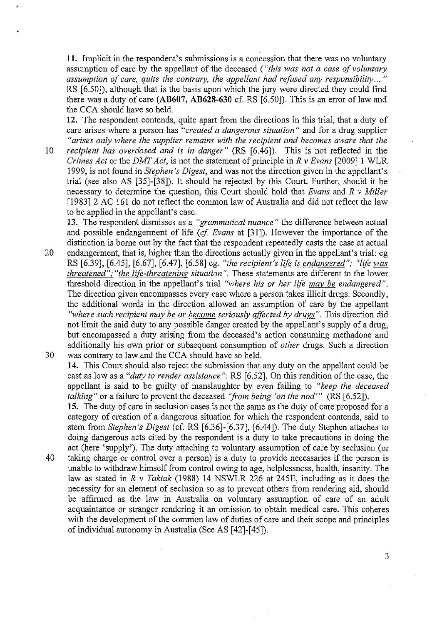**11.** Implicit in the respondent's submissions is a concession that there was no voluntary assumption of care by the appellant of the deceased *("this was not a case of voluntary assumption of care, quite the contrary, the appellant had refused any responsibility ...* " RS [6.50]), although that is the basis upon which the jury were directed they could find there was a duty of care **(AB607, AB628-630** cf. RS [6.50]). This is an error of law and the CCA should have so held.

**12.** The respondent contends, quite apart from the directions in this trial, that a duty of care arises where a person has *"created a dangerous situation"* and for a drug supplier *"arises only where the supplier remains with the recipient and becomes aware that the* 

10 *recipient has overdosed and is in danger*" (RS [6.46]). This is not reflected in the *Crimes Act* or the *DMT Act,* is not the statement of principle in *R v Evans* [2009]1 WLR 1999, is not found in *Stephen's Digest,* and was not the direction given in the appellant's trial (see also AS [35]-[38]). It should be rejected by this Court. Further, should it be necessary to determine the question, this Court should hold that *Evans* and *R v Miller*  [1983] 2 AC 161 do not reflect the common law of Australia and did not reflect the law to be applied in the appellant's case.

**13.** The respondent dismisses as a *"grammatical nuance"* the difference between actual and possible endangerment of life *(cf Evans* at [31]). However the importance of the distinction is borne out by the fact that the respondent repeatedly casts the case at actual

20 endangerment, that is, higher than the directions actually given in the appellant's trial: eg RS [6.39], [6.45], [6.67], [6.47], [6.58] eg. *"the recipient's life is endangered"; "life was threatened"; "the life-threatening situation".* These statements are different to the lower threshold direction in the appellant's trial *"where his or her life mav be endangered".*  The direction given encompasses every case where a person takes illicit drugs. Secondly, the additional words in the direction allowed an assumption of care by the appellant *"where such recipient may be or become seriously affected by drugs"*. This direction did not limit the said duty to any possible danger created by the appellant's supply of a drug, but encompassed a duty arising from the. deceased's action consuming methadone and additionally his own prior or subsequent consumption of *other* drugs. Such a direction 30 was contrary to law and the CCA should have so held.

**14.** This Court should also reject the submission that any duty on the appellant could be cast as low as a *"duty to render assistance":* RS [6.52]. On this rendition of the case, the appellant is said to be guilty of manslaughter by even failing to *"keep the deceased talking"* or a failure to prevent the deceased "from being 'on the nod'" (RS [6.52]).

**15.** The duty of care in seclusion cases is not the same as the duty of care proposed for a category of creation of a dangerous situation for which the respondent contends, said to stem from *Stephen's Digest* (cf. RS [6.36]-[6.37], [6.44]). The duty Stephen attaches to doing dangerous acts cited by the respondent is a duty to take precautions in doing the act (here 'supply'). The duty attaching to voluntary assumption of care by seclusion (or

40 taking charge or control over a person) is a duty to provide necessaries if the person is unable to withdraw himself from control owing to age, helplessness, health, insanity. The law as stated in *R v Taktak* (1988) 14 NSWLR 226 at 245E, including as it does the necessity for an element of seclusion so as to prevent others from rendering aid, should be affirmed as the law in Australia on voluntary assumption of care of an adult acquaintance or stranger rendering it an omission to obtain medical care. This coheres with the development of the common law of duties of care and their scope and principles of individual autonomy in Australia (See AS [ 42]-[ 45]).

3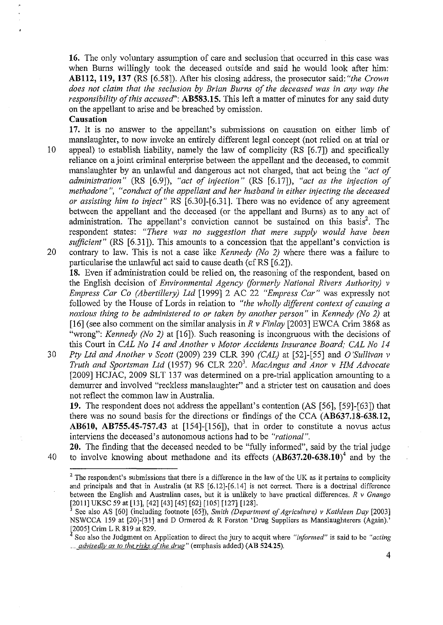**16.** The only voluntary assumption of care and seclusion that occurred in this case was when Burns willingly took the deceased outside and said he would look after him: **AB112, 119, 137** (RS [6.58]). After his closing address, the prosecutor said: *"the Crown*  does not claim that the seclusion by Brian Burns of the deceased was in any way the *responsibility of this accused":* **AB583.15.** This left a matter of minutes for any said duty on the appellant to arise and be breached by omission.

**Causation** 

**17.** It is no answer to the appellant's submissions on causation on either limb of manslaughter, to now invoke an entirely different legal concept (not relied on at trial or 10 appeal) to establish liability, namely the law of complicity (RS [6.7]) and specifically reliance on a joint criminal enterprise between the appellant and the deceased, to commit manslaughter by an unlawful and dangerous act not charged, that act being the *"act of administration"* (RS [6.9]), *"act of injection"* (RS [6.17]), *"act as the injection of methadone", "conduct of the appellant and her husband in either injecting the deceased or assisting him to inject"* RS [6.30]-[6.31]. There was no evidence of any agreement between the appellant and the deceased (or the appellant and Burns) as to any act of administration. The appellant's conviction cannot be sustained on this basis<sup>2</sup>. The respondent states: *"There was no suggestion that mere supply would have been sufficient"* (RS [6.31]). This amounts to a concession that the appellant's conviction is 20 contrary to law. This is not a case like *Kennedy (No 2)* where there was a failure to particularise the unlawful act said to cause death (cf RS [6.2]).

**18.** Even if administration could be relied on, the reasoning of the respondent, based on the English decision of *Environmental Agency (formerly National Rivers Authority) v Empress Car Co (Abertillery) Ltd* [1999] 2 AC 22 *"Empress Car"* was expressly not followed by the House of Lords in relation to *"the wholly different context of causing a noxious thing to be administered to or taken by another person"* in *Kennedy (No 2)* at [16] (see also comment on the similar analysis in *R v Finlay* [2003] EWCA Crim 3868 as "wrong": *Kennedy (No 2)* at [16]). Such reasoning is incongruous with the decisions of this Court in *CAL No 14 and Another v Motor Accidents Insurance Board; CAL No 14* 

30 *Pty Ltd and Another v Scott* (2009) 239 CLR 390 *(CAL)* at [52]-[55] and 0 *'Sullivan v Truth and Sportsman Ltd* (1957) 96 CLR 220<sup>3</sup>. MacAngus and Anor v HM Advocate [2009] HCJAC, 2009 SLT 137 was determined on a pre-trial application amounting to a demurrer and involved "reckless manslaughter" and a stricter test on causation and does not reflect the common law in Australia.

**19.** The respondent does not address the appellant's contention (AS [56], [59]-[63]) that there was no sound basis for the directions or findings of the CCA **(AB637.18-638.12, AB610, AB755.45-757.43** at [154]-[156]), that in order to constitute a novus actus interviens the deceased's autonomous actions had to be *"rational".* 

**20.** The finding that the deceased needed to be "fully informed", said by the trial judge 40 to involve knowing about methadone and its effects **(AB637.20-638.10)<sup>4</sup>**and by the

<sup>&</sup>lt;sup>2</sup> The respondent's submissions that there is a difference in the law of the UK as it pertains to complicity and principals and that in Australia (at RS [6.12]-[6.14] is not correct. There is a doctrinal difference between the English and Australian cases, but it is unlikely to have practical differences. *R v Gnango*  [2011] UKSC 59 at [13], [42] [43] [45] [62] [105] [127] [128]. 3 See also AS [60] (including footnote [65]), *Smith (Department of Agriculture) v Kathleen Day* [2003]

NSWCCA 159 at [20]-[31] and D Ormerod & R Forston 'Drug Suppliers as Manslaughterers (Again).'  $[2005]$  Crim L R 819 at 829.

<sup>4</sup> See also the Judgment on Application to direct the jury to acquit where *"informed"* is said to be *"acting*  ... *advisedly as to the risks of the drug*" (emphasis added) (AB 524.25).